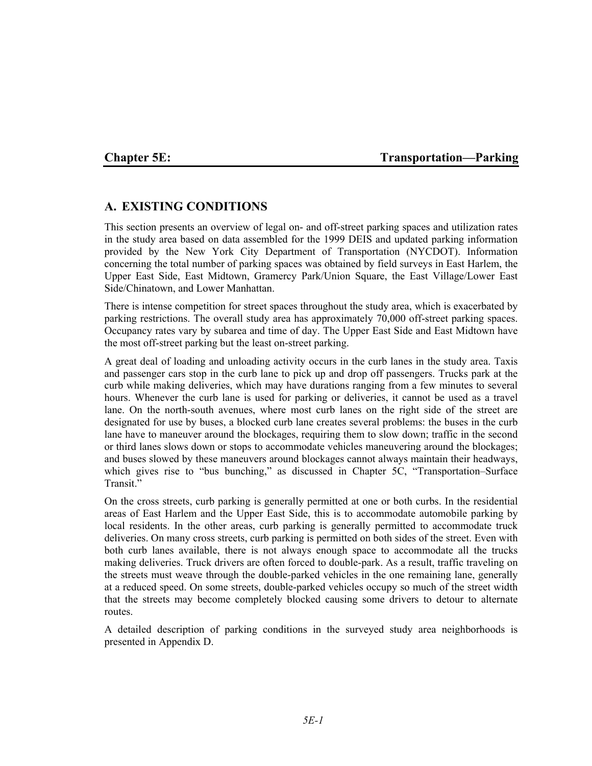### **Chapter 5E:** Transportation—Parking

## **A. EXISTING CONDITIONS**

This section presents an overview of legal on- and off-street parking spaces and utilization rates in the study area based on data assembled for the 1999 DEIS and updated parking information provided by the New York City Department of Transportation (NYCDOT). Information concerning the total number of parking spaces was obtained by field surveys in East Harlem, the Upper East Side, East Midtown, Gramercy Park/Union Square, the East Village/Lower East Side/Chinatown, and Lower Manhattan.

There is intense competition for street spaces throughout the study area, which is exacerbated by parking restrictions. The overall study area has approximately 70,000 off-street parking spaces. Occupancy rates vary by subarea and time of day. The Upper East Side and East Midtown have the most off-street parking but the least on-street parking.

A great deal of loading and unloading activity occurs in the curb lanes in the study area. Taxis and passenger cars stop in the curb lane to pick up and drop off passengers. Trucks park at the curb while making deliveries, which may have durations ranging from a few minutes to several hours. Whenever the curb lane is used for parking or deliveries, it cannot be used as a travel lane. On the north-south avenues, where most curb lanes on the right side of the street are designated for use by buses, a blocked curb lane creates several problems: the buses in the curb lane have to maneuver around the blockages, requiring them to slow down; traffic in the second or third lanes slows down or stops to accommodate vehicles maneuvering around the blockages; and buses slowed by these maneuvers around blockages cannot always maintain their headways, which gives rise to "bus bunching," as discussed in Chapter 5C, "Transportation–Surface Transit<sup>"</sup>

On the cross streets, curb parking is generally permitted at one or both curbs. In the residential areas of East Harlem and the Upper East Side, this is to accommodate automobile parking by local residents. In the other areas, curb parking is generally permitted to accommodate truck deliveries. On many cross streets, curb parking is permitted on both sides of the street. Even with both curb lanes available, there is not always enough space to accommodate all the trucks making deliveries. Truck drivers are often forced to double-park. As a result, traffic traveling on the streets must weave through the double-parked vehicles in the one remaining lane, generally at a reduced speed. On some streets, double-parked vehicles occupy so much of the street width that the streets may become completely blocked causing some drivers to detour to alternate routes.

A detailed description of parking conditions in the surveyed study area neighborhoods is presented in Appendix D.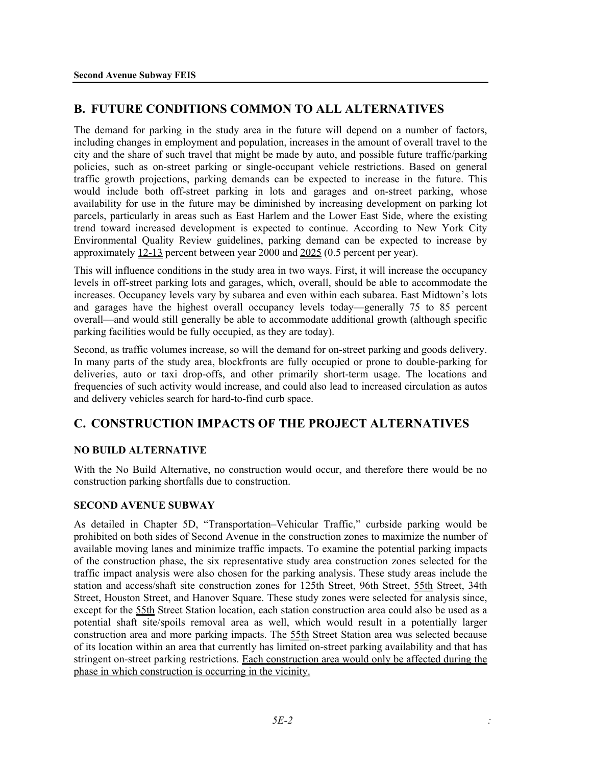# **B. FUTURE CONDITIONS COMMON TO ALL ALTERNATIVES**

The demand for parking in the study area in the future will depend on a number of factors, including changes in employment and population, increases in the amount of overall travel to the city and the share of such travel that might be made by auto, and possible future traffic/parking policies, such as on-street parking or single-occupant vehicle restrictions. Based on general traffic growth projections, parking demands can be expected to increase in the future. This would include both off-street parking in lots and garages and on-street parking, whose availability for use in the future may be diminished by increasing development on parking lot parcels, particularly in areas such as East Harlem and the Lower East Side, where the existing trend toward increased development is expected to continue. According to New York City Environmental Quality Review guidelines, parking demand can be expected to increase by approximately 12-13 percent between year 2000 and 2025 (0.5 percent per year).

This will influence conditions in the study area in two ways. First, it will increase the occupancy levels in off-street parking lots and garages, which, overall, should be able to accommodate the increases. Occupancy levels vary by subarea and even within each subarea. East Midtown's lots and garages have the highest overall occupancy levels today—generally 75 to 85 percent overall—and would still generally be able to accommodate additional growth (although specific parking facilities would be fully occupied, as they are today).

Second, as traffic volumes increase, so will the demand for on-street parking and goods delivery. In many parts of the study area, blockfronts are fully occupied or prone to double-parking for deliveries, auto or taxi drop-offs, and other primarily short-term usage. The locations and frequencies of such activity would increase, and could also lead to increased circulation as autos and delivery vehicles search for hard-to-find curb space.

# **C. CONSTRUCTION IMPACTS OF THE PROJECT ALTERNATIVES**

### **NO BUILD ALTERNATIVE**

With the No Build Alternative, no construction would occur, and therefore there would be no construction parking shortfalls due to construction.

### **SECOND AVENUE SUBWAY**

As detailed in Chapter 5D, "Transportation–Vehicular Traffic," curbside parking would be prohibited on both sides of Second Avenue in the construction zones to maximize the number of available moving lanes and minimize traffic impacts. To examine the potential parking impacts of the construction phase, the six representative study area construction zones selected for the traffic impact analysis were also chosen for the parking analysis. These study areas include the station and access/shaft site construction zones for 125th Street, 96th Street, 55th Street, 34th Street, Houston Street, and Hanover Square. These study zones were selected for analysis since, except for the 55th Street Station location, each station construction area could also be used as a potential shaft site/spoils removal area as well, which would result in a potentially larger construction area and more parking impacts. The 55th Street Station area was selected because of its location within an area that currently has limited on-street parking availability and that has stringent on-street parking restrictions. Each construction area would only be affected during the phase in which construction is occurring in the vicinity.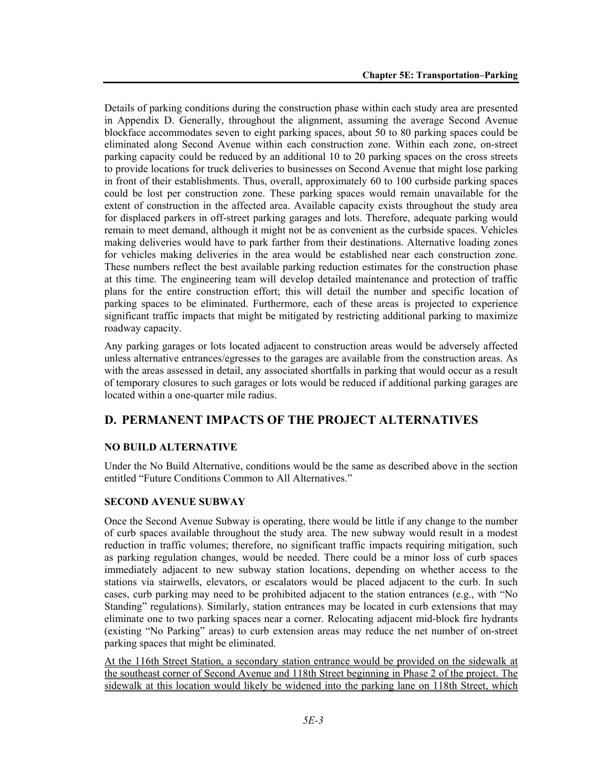Details of parking conditions during the construction phase within each study area are presented in Appendix D. Generally, throughout the alignment, assuming the average Second Avenue blockface accommodates seven to eight parking spaces, about 50 to 80 parking spaces could be eliminated along Second Avenue within each construction zone. Within each zone, on-street parking capacity could be reduced by an additional 10 to 20 parking spaces on the cross streets to provide locations for truck deliveries to businesses on Second Avenue that might lose parking in front of their establishments. Thus, overall, approximately 60 to 100 curbside parking spaces could be lost per construction zone. These parking spaces would remain unavailable for the extent of construction in the affected area. Available capacity exists throughout the study area for displaced parkers in off-street parking garages and lots. Therefore, adequate parking would remain to meet demand, although it might not be as convenient as the curbside spaces. Vehicles making deliveries would have to park farther from their destinations. Alternative loading zones for vehicles making deliveries in the area would be established near each construction zone. These numbers reflect the best available parking reduction estimates for the construction phase at this time. The engineering team will develop detailed maintenance and protection of traffic plans for the entire construction effort; this will detail the number and specific location of parking spaces to be eliminated. Furthermore, each of these areas is projected to experience significant traffic impacts that might be mitigated by restricting additional parking to maximize roadway capacity.

Any parking garages or lots located adjacent to construction areas would be adversely affected unless alternative entrances/egresses to the garages are available from the construction areas. As with the areas assessed in detail, any associated shortfalls in parking that would occur as a result of temporary closures to such garages or lots would be reduced if additional parking garages are located within a one-quarter mile radius.

# **D. PERMANENT IMPACTS OF THE PROJECT ALTERNATIVES**

### **NO BUILD ALTERNATIVE**

Under the No Build Alternative, conditions would be the same as described above in the section entitled "Future Conditions Common to All Alternatives."

#### **SECOND AVENUE SUBWAY**

Once the Second Avenue Subway is operating, there would be little if any change to the number of curb spaces available throughout the study area. The new subway would result in a modest reduction in traffic volumes; therefore, no significant traffic impacts requiring mitigation, such as parking regulation changes, would be needed. There could be a minor loss of curb spaces immediately adjacent to new subway station locations, depending on whether access to the stations via stairwells, elevators, or escalators would be placed adjacent to the curb. In such cases, curb parking may need to be prohibited adjacent to the station entrances (e.g., with "No Standing" regulations). Similarly, station entrances may be located in curb extensions that may eliminate one to two parking spaces near a corner. Relocating adjacent mid-block fire hydrants (existing "No Parking" areas) to curb extension areas may reduce the net number of on-street parking spaces that might be eliminated.

At the 116th Street Station, a secondary station entrance would be provided on the sidewalk at the southeast corner of Second Avenue and 118th Street beginning in Phase 2 of the project. The sidewalk at this location would likely be widened into the parking lane on 118th Street, which